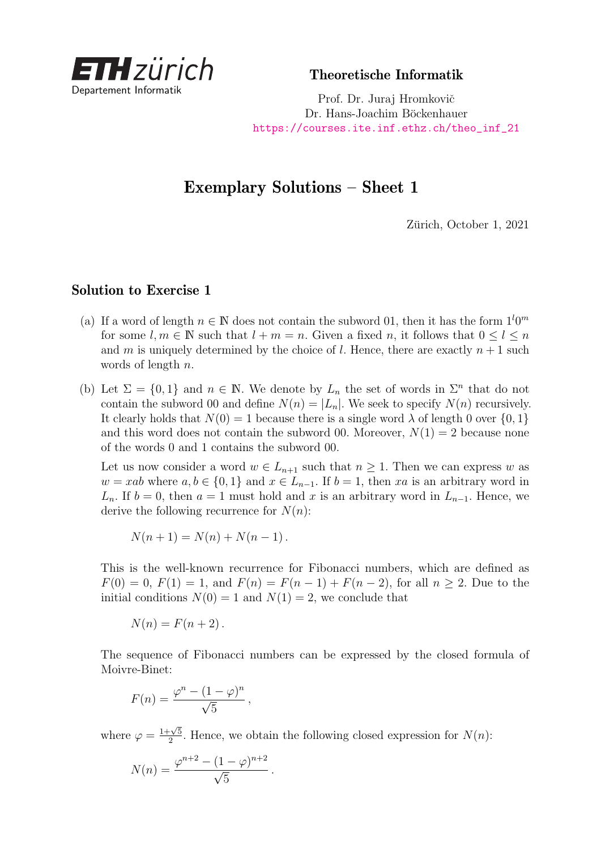

Theoretische Informatik

Prof. Dr. Juraj Hromkovič Dr. Hans-Joachim Böckenhauer [https://courses.ite.inf.ethz.ch/theo\\_inf\\_21](https://courses.ite.inf.ethz.ch/theo_inf_21)

## Exemplary Solutions – Sheet 1

Zürich, October 1, 2021

## Solution to Exercise 1

- (a) If a word of length  $n \in \mathbb{N}$  does not contain the subword 01, then it has the form  $1^l 0^m$ for some  $l, m \in \mathbb{N}$  such that  $l + m = n$ . Given a fixed *n*, it follows that  $0 \leq l \leq n$ and *m* is uniquely determined by the choice of *l*. Hence, there are exactly  $n+1$  such words of length *n*.
- (b) Let  $\Sigma = \{0,1\}$  and  $n \in \mathbb{N}$ . We denote by  $L_n$  the set of words in  $\Sigma^n$  that do not contain the subword 00 and define  $N(n) = |L_n|$ . We seek to specify  $N(n)$  recursively. It clearly holds that  $N(0) = 1$  because there is a single word  $\lambda$  of length 0 over  $\{0, 1\}$ and this word does not contain the subword 00. Moreover,  $N(1) = 2$  because none of the words 0 and 1 contains the subword 00.

Let us now consider a word  $w \in L_{n+1}$  such that  $n \geq 1$ . Then we can express *w* as  $w = xab$  where  $a, b \in \{0, 1\}$  and  $x \in L_{n-1}$ . If  $b = 1$ , then *xa* is an arbitrary word in *L*<sub>n</sub>. If  $b = 0$ , then  $a = 1$  must hold and *x* is an arbitrary word in  $L_{n-1}$ . Hence, we derive the following recurrence for  $N(n)$ :

$$
N(n + 1) = N(n) + N(n - 1).
$$

This is the well-known recurrence for Fibonacci numbers, which are defined as  $F(0) = 0$ ,  $F(1) = 1$ , and  $F(n) = F(n-1) + F(n-2)$ , for all  $n \ge 2$ . Due to the initial conditions  $N(0) = 1$  and  $N(1) = 2$ , we conclude that

$$
N(n) = F(n+2).
$$

The sequence of Fibonacci numbers can be expressed by the closed formula of Moivre-Binet:

$$
F(n) = \frac{\varphi^n - (1 - \varphi)^n}{\sqrt{5}},
$$

where  $\varphi = \frac{1+\sqrt{5}}{2}$  $\frac{2\sqrt{5}}{2}$ . Hence, we obtain the following closed expression for *N*(*n*):

$$
N(n) = \frac{\varphi^{n+2} - (1 - \varphi)^{n+2}}{\sqrt{5}}.
$$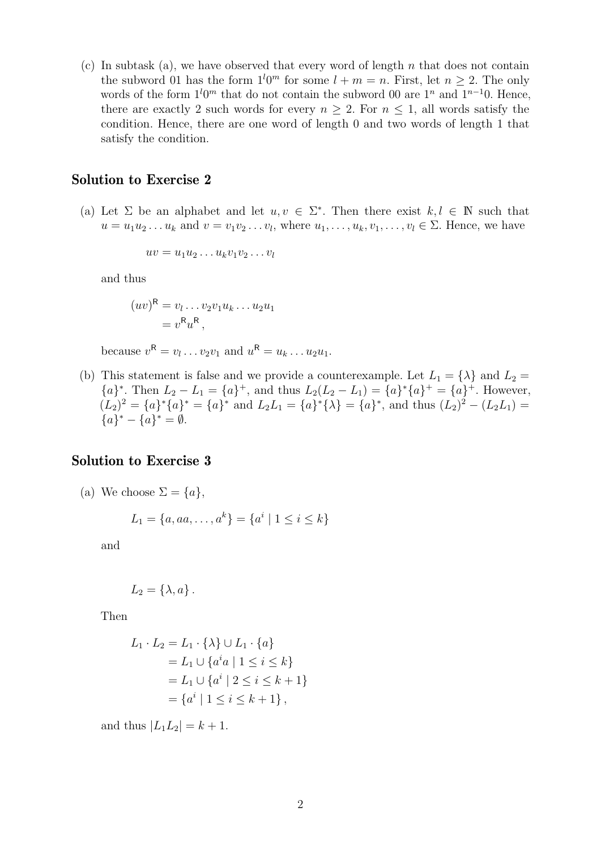(c) In subtask (a), we have observed that every word of length *n* that does not contain the subword 01 has the form  $1^l 0^m$  for some  $l + m = n$ . First, let  $n \geq 2$ . The only words of the form  $1^{l}0^{m}$  that do not contain the subword 00 are  $1^{n}$  and  $1^{n-1}0$ . Hence, there are exactly 2 such words for every  $n > 2$ . For  $n \leq 1$ , all words satisfy the condition. Hence, there are one word of length 0 and two words of length 1 that satisfy the condition.

## Solution to Exercise 2

(a) Let  $\Sigma$  be an alphabet and let  $u, v \in \Sigma^*$ . Then there exist  $k, l \in \mathbb{N}$  such that  $u = u_1 u_2 \ldots u_k$  and  $v = v_1 v_2 \ldots v_l$ , where  $u_1, \ldots, u_k, v_1, \ldots, v_l \in \Sigma$ . Hence, we have

$$
uv = u_1u_2\ldots u_kv_1v_2\ldots v_l
$$

and thus

$$
(uv)^{\mathsf{R}} = v_1 \dots v_2 v_1 u_k \dots u_2 u_1
$$
  
=  $v^{\mathsf{R}} u^{\mathsf{R}}$ ,

because  $v^{\mathsf{R}} = v_l \dots v_2 v_1$  and  $u^{\mathsf{R}} = u_k \dots u_2 u_1$ .

(b) This statement is false and we provide a counterexample. Let  $L_1 = {\lambda}$  and  $L_2 =$  ${a}^*$ . Then  $L_2 - L_1 = {a}^+$ , and thus  $L_2(L_2 - L_1) = {a}^*{a}^ \{a\}^+ = {a}^+$ . However,  $(L_2)^2 = \{a\}^* \{a\}^* = \{a\}^*$  and  $L_2 L_1 = \{a\}^* \{\lambda\} = \{a\}^*$ , and thus  $(L_2)^2 - (L_2 L_1) =$  ${a}^* - {a}^* = \emptyset.$ 

## Solution to Exercise 3

(a) We choose  $\Sigma = \{a\},\$ 

$$
L_1 = \{a, aa, \dots, a^k\} = \{a^i \mid 1 \le i \le k\}
$$

and

$$
L_2 = \{\lambda, a\}.
$$

Then

$$
L_1 \cdot L_2 = L_1 \cdot \{\lambda\} \cup L_1 \cdot \{a\}
$$
  
=  $L_1 \cup \{a^i a \mid 1 \le i \le k\}$   
=  $L_1 \cup \{a^i \mid 2 \le i \le k+1\}$   
=  $\{a^i \mid 1 \le i \le k+1\}$ ,

and thus  $|L_1L_2| = k + 1$ .